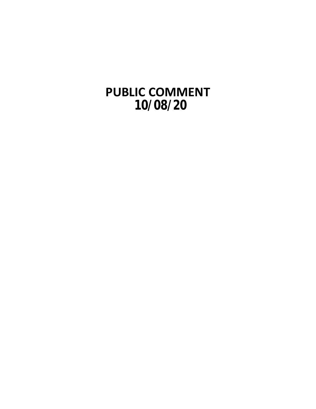**PUBLIC COMMENT 10/08/20**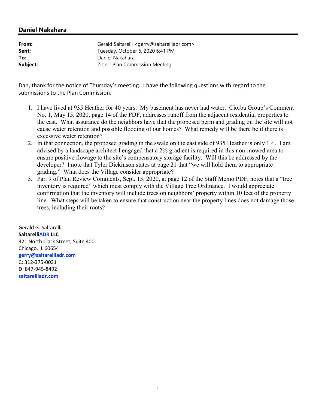## **Daniel Nakahara**

| From:    | Gerald Saltarelli <gerry@saltarelliadr.com></gerry@saltarelliadr.com> |
|----------|-----------------------------------------------------------------------|
| Sent:    | Tuesday, October 6, 2020 6:41 PM                                      |
| To:      | Daniel Nakahara                                                       |
| Subject: | Zion - Plan Commission Meeting                                        |

Dan, thank for the notice of Thursday's meeting. I have the following questions with regard to the submissions to the Plan Commission.

- 1. I have lived at 935 Heather for 40 years. My basement has never had water. Ciorba Group's Comment No. 1, May 15, 2020, page 14 of the PDF, addresses runoff from the adjacent residential properties to the east. What assurance do the neighbors have that the proposed berm and grading on the site will not cause water retention and possible flooding of our homes? What remedy will be there be if there is excessive water retention?
- 2. In that connection, the proposed grading in the swale on the east side of 935 Heather is only 1%. I am advised by a landscape architect I engaged that a 2% gradient is required in this non-mowed area to ensure positive flowage to the site's compensatory storage facility. Will this be addressed by the developer? I note that Tyler Dickinson states at page 21 that "we will hold them to appropriate grading." What does the Village consider appropriate?
- 3. Par. 9 of Plan Review Comments, Sept. 15, 2020, at page 12 of the Staff Memo PDF, notes that a "tree inventory is required" which must comply with the Village Tree Ordinance. I would appreciate confirmation that the inventory will include trees on neighbors' property within 10 feet of the property line. What steps will be taken to ensure that construction near the property lines does not damage those trees, including their roots?

Gerald G. Saltarelli **SaltarelliADR LLC** 321 North Clark Street, Suite 400 Chicago, IL 60654 **gerry@saltarelliadr.com** C: 312-375-0031 D: 847-945-8492 **saltarelliadr.com**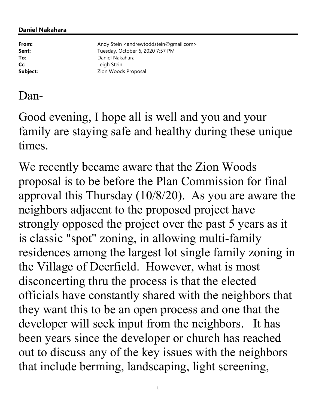## **Daniel Nakahara**

**From:** Andy Stein <andrewtoddstein@gmail.com> Sent: Tuesday, October 6, 2020 7:57 PM **To:** Daniel Nakahara **Cc:** Leigh Stein **Subject:** Zion Woods Proposal

## Dan-

Good evening, I hope all is well and you and your family are staying safe and healthy during these unique times.

We recently became aware that the Zion Woods proposal is to be before the Plan Commission for final approval this Thursday (10/8/20). As you are aware the neighbors adjacent to the proposed project have strongly opposed the project over the past 5 years as it is classic "spot" zoning, in allowing multi-family residences among the largest lot single family zoning in the Village of Deerfield. However, what is most disconcerting thru the process is that the elected officials have constantly shared with the neighbors that they want this to be an open process and one that the developer will seek input from the neighbors. It has been years since the developer or church has reached out to discuss any of the key issues with the neighbors that include berming, landscaping, light screening,

1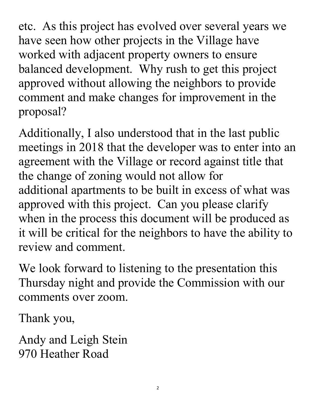etc. As this project has evolved over several years we have seen how other projects in the Village have worked with adjacent property owners to ensure balanced development. Why rush to get this project approved without allowing the neighbors to provide comment and make changes for improvement in the proposal?

Additionally, I also understood that in the last public meetings in 2018 that the developer was to enter into an agreement with the Village or record against title that the change of zoning would not allow for additional apartments to be built in excess of what was approved with this project. Can you please clarify when in the process this document will be produced as it will be critical for the neighbors to have the ability to review and comment.

We look forward to listening to the presentation this Thursday night and provide the Commission with our comments over zoom.

Thank you,

Andy and Leigh Stein 970 Heather Road